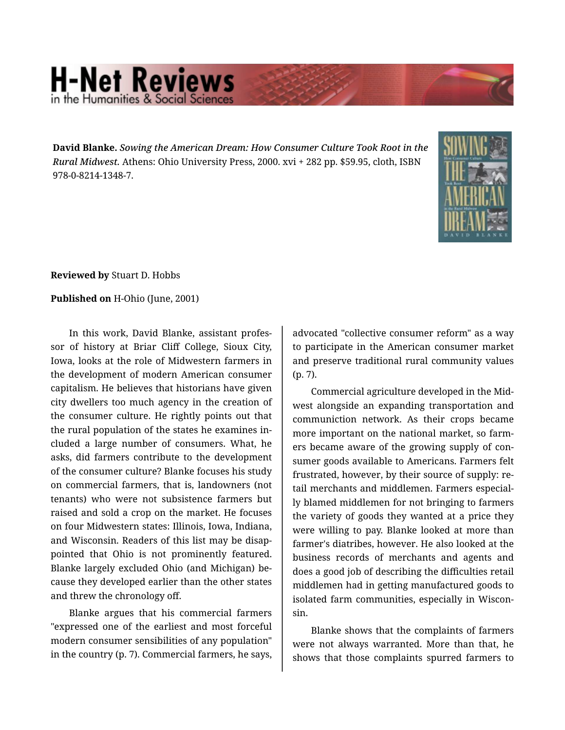## **H-Net Reviews**

**David Blanke.** *Sowing the American Dream: How Consumer Culture Took Root in the Rural Midwest.* Athens: Ohio University Press, 2000. xvi + 282 pp. \$59.95, cloth, ISBN 978-0-8214-1348-7.



**Reviewed by** Stuart D. Hobbs

## **Published on** H-Ohio (June, 2001)

In this work, David Blanke, assistant profes‐ sor of history at Briar Cliff College, Sioux City, Iowa, looks at the role of Midwestern farmers in the development of modern American consumer capitalism. He believes that historians have given city dwellers too much agency in the creation of the consumer culture. He rightly points out that the rural population of the states he examines in‐ cluded a large number of consumers. What, he asks, did farmers contribute to the development of the consumer culture? Blanke focuses his study on commercial farmers, that is, landowners (not tenants) who were not subsistence farmers but raised and sold a crop on the market. He focuses on four Midwestern states: Illinois, Iowa, Indiana, and Wisconsin. Readers of this list may be disap‐ pointed that Ohio is not prominently featured. Blanke largely excluded Ohio (and Michigan) be‐ cause they developed earlier than the other states and threw the chronology off.

Blanke argues that his commercial farmers "expressed one of the earliest and most forceful modern consumer sensibilities of any population" in the country (p. 7). Commercial farmers, he says,

advocated "collective consumer reform" as a way to participate in the American consumer market and preserve traditional rural community values (p. 7).

Commercial agriculture developed in the Mid‐ west alongside an expanding transportation and communiction network. As their crops became more important on the national market, so farm‐ ers became aware of the growing supply of con‐ sumer goods available to Americans. Farmers felt frustrated, however, by their source of supply: re‐ tail merchants and middlemen. Farmers especial‐ ly blamed middlemen for not bringing to farmers the variety of goods they wanted at a price they were willing to pay. Blanke looked at more than farmer's diatribes, however. He also looked at the business records of merchants and agents and does a good job of describing the difficulties retail middlemen had in getting manufactured goods to isolated farm communities, especially in Wiscon‐ sin.

Blanke shows that the complaints of farmers were not always warranted. More than that, he shows that those complaints spurred farmers to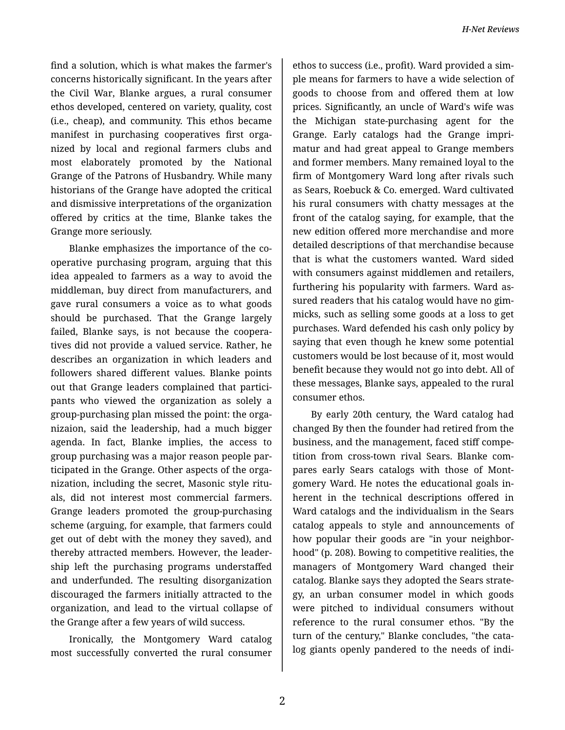find a solution, which is what makes the farmer's concerns historically significant. In the years after the Civil War, Blanke argues, a rural consumer ethos developed, centered on variety, quality, cost (i.e., cheap), and community. This ethos became manifest in purchasing cooperatives first orga‐ nized by local and regional farmers clubs and most elaborately promoted by the National Grange of the Patrons of Husbandry. While many historians of the Grange have adopted the critical and dismissive interpretations of the organization offered by critics at the time, Blanke takes the Grange more seriously.

Blanke emphasizes the importance of the co‐ operative purchasing program, arguing that this idea appealed to farmers as a way to avoid the middleman, buy direct from manufacturers, and gave rural consumers a voice as to what goods should be purchased. That the Grange largely failed, Blanke says, is not because the coopera‐ tives did not provide a valued service. Rather, he describes an organization in which leaders and followers shared different values. Blanke points out that Grange leaders complained that partici‐ pants who viewed the organization as solely a group-purchasing plan missed the point: the orga‐ nizaion, said the leadership, had a much bigger agenda. In fact, Blanke implies, the access to group purchasing was a major reason people par‐ ticipated in the Grange. Other aspects of the orga‐ nization, including the secret, Masonic style ritu‐ als, did not interest most commercial farmers. Grange leaders promoted the group-purchasing scheme (arguing, for example, that farmers could get out of debt with the money they saved), and thereby attracted members. However, the leader‐ ship left the purchasing programs understaffed and underfunded. The resulting disorganization discouraged the farmers initially attracted to the organization, and lead to the virtual collapse of the Grange after a few years of wild success.

Ironically, the Montgomery Ward catalog most successfully converted the rural consumer

ethos to success (i.e., profit). Ward provided a sim‐ ple means for farmers to have a wide selection of goods to choose from and offered them at low prices. Significantly, an uncle of Ward's wife was the Michigan state-purchasing agent for the Grange. Early catalogs had the Grange impri‐ matur and had great appeal to Grange members and former members. Many remained loyal to the firm of Montgomery Ward long after rivals such as Sears, Roebuck & Co. emerged. Ward cultivated his rural consumers with chatty messages at the front of the catalog saying, for example, that the new edition offered more merchandise and more detailed descriptions of that merchandise because that is what the customers wanted. Ward sided with consumers against middlemen and retailers, furthering his popularity with farmers. Ward as‐ sured readers that his catalog would have no gim‐ micks, such as selling some goods at a loss to get purchases. Ward defended his cash only policy by saying that even though he knew some potential customers would be lost because of it, most would benefit because they would not go into debt. All of these messages, Blanke says, appealed to the rural consumer ethos.

By early 20th century, the Ward catalog had changed By then the founder had retired from the business, and the management, faced stiff compe‐ tition from cross-town rival Sears. Blanke com‐ pares early Sears catalogs with those of Mont‐ gomery Ward. He notes the educational goals in‐ herent in the technical descriptions offered in Ward catalogs and the individualism in the Sears catalog appeals to style and announcements of how popular their goods are "in your neighbor‐ hood" (p. 208). Bowing to competitive realities, the managers of Montgomery Ward changed their catalog. Blanke says they adopted the Sears strate‐ gy, an urban consumer model in which goods were pitched to individual consumers without reference to the rural consumer ethos. "By the turn of the century," Blanke concludes, "the cata‐ log giants openly pandered to the needs of indi‐

2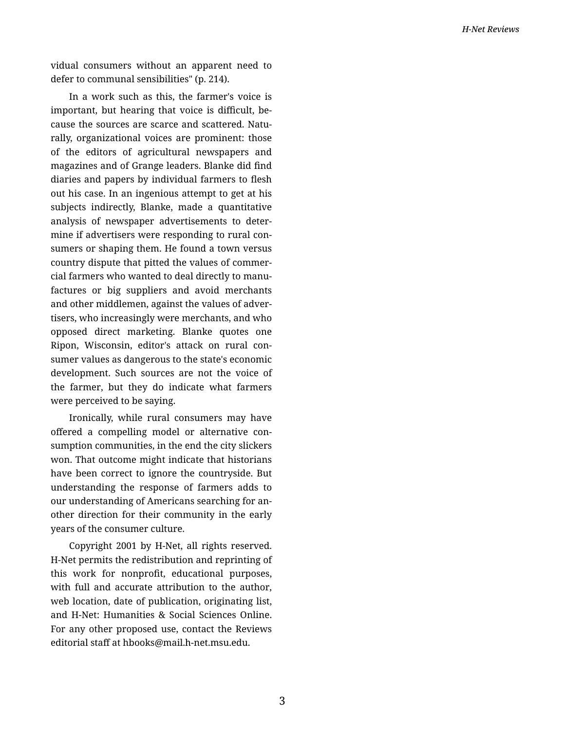vidual consumers without an apparent need to defer to communal sensibilities" (p. 214).

In a work such as this, the farmer's voice is important, but hearing that voice is difficult, because the sources are scarce and scattered. Natu‐ rally, organizational voices are prominent: those of the editors of agricultural newspapers and magazines and of Grange leaders. Blanke did find diaries and papers by individual farmers to flesh out his case. In an ingenious attempt to get at his subjects indirectly, Blanke, made a quantitative analysis of newspaper advertisements to deter‐ mine if advertisers were responding to rural con‐ sumers or shaping them. He found a town versus country dispute that pitted the values of commer‐ cial farmers who wanted to deal directly to manu‐ factures or big suppliers and avoid merchants and other middlemen, against the values of adver‐ tisers, who increasingly were merchants, and who opposed direct marketing. Blanke quotes one Ripon, Wisconsin, editor's attack on rural con‐ sumer values as dangerous to the state's economic development. Such sources are not the voice of the farmer, but they do indicate what farmers were perceived to be saying.

Ironically, while rural consumers may have offered a compelling model or alternative con‐ sumption communities, in the end the city slickers won. That outcome might indicate that historians have been correct to ignore the countryside. But understanding the response of farmers adds to our understanding of Americans searching for an‐ other direction for their community in the early years of the consumer culture.

Copyright 2001 by H-Net, all rights reserved. H-Net permits the redistribution and reprinting of this work for nonprofit, educational purposes, with full and accurate attribution to the author, web location, date of publication, originating list, and H-Net: Humanities & Social Sciences Online. For any other proposed use, contact the Reviews editorial staff at hbooks@mail.h-net.msu.edu.